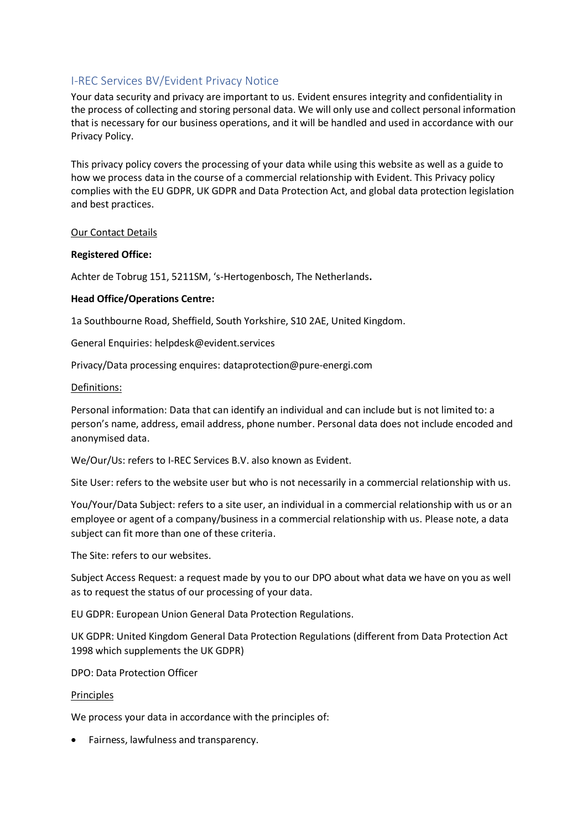# I-REC Services BV/Evident Privacy Notice

Your data security and privacy are important to us. Evident ensures integrity and confidentiality in the process of collecting and storing personal data. We will only use and collect personal information that is necessary for our business operations, and it will be handled and used in accordance with our Privacy Policy.

This privacy policy covers the processing of your data while using this website as well as a guide to how we process data in the course of a commercial relationship with Evident. This Privacy policy complies with the EU GDPR, UK GDPR and Data Protection Act, and global data protection legislation and best practices.

### Our Contact Details

#### **Registered Office:**

Achter de Tobrug 151, 5211SM, 's-Hertogenbosch, The Netherlands**.**

### **Head Office/Operations Centre:**

1a Southbourne Road, Sheffield, South Yorkshire, S10 2AE, United Kingdom.

General Enquiries: helpdesk@evident.services

Privacy/Data processing enquires: dataprotection@pure-energi.com

#### Definitions:

Personal information: Data that can identify an individual and can include but is not limited to: a person's name, address, email address, phone number. Personal data does not include encoded and anonymised data.

We/Our/Us: refers to I-REC Services B.V. also known as Evident.

Site User: refers to the website user but who is not necessarily in a commercial relationship with us.

You/Your/Data Subject: refers to a site user, an individual in a commercial relationship with us or an employee or agent of a company/business in a commercial relationship with us. Please note, a data subject can fit more than one of these criteria.

The Site: refers to our websites.

Subject Access Request: a request made by you to our DPO about what data we have on you as well as to request the status of our processing of your data.

EU GDPR: European Union General Data Protection Regulations.

UK GDPR: United Kingdom General Data Protection Regulations (different from Data Protection Act 1998 which supplements the UK GDPR)

DPO: Data Protection Officer

#### Principles

We process your data in accordance with the principles of:

• Fairness, lawfulness and transparency.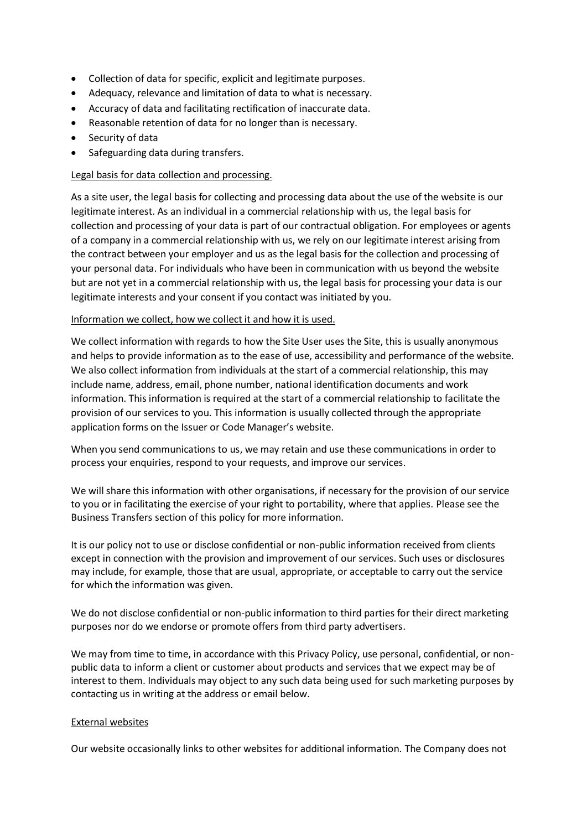- Collection of data for specific, explicit and legitimate purposes.
- Adequacy, relevance and limitation of data to what is necessary.
- Accuracy of data and facilitating rectification of inaccurate data.
- Reasonable retention of data for no longer than is necessary.
- Security of data
- Safeguarding data during transfers.

### Legal basis for data collection and processing.

As a site user, the legal basis for collecting and processing data about the use of the website is our legitimate interest. As an individual in a commercial relationship with us, the legal basis for collection and processing of your data is part of our contractual obligation. For employees or agents of a company in a commercial relationship with us, we rely on our legitimate interest arising from the contract between your employer and us as the legal basis for the collection and processing of your personal data. For individuals who have been in communication with us beyond the website but are not yet in a commercial relationship with us, the legal basis for processing your data is our legitimate interests and your consent if you contact was initiated by you.

### Information we collect, how we collect it and how it is used.

We collect information with regards to how the Site User uses the Site, this is usually anonymous and helps to provide information as to the ease of use, accessibility and performance of the website. We also collect information from individuals at the start of a commercial relationship, this may include name, address, email, phone number, national identification documents and work information. This information is required at the start of a commercial relationship to facilitate the provision of our services to you. This information is usually collected through the appropriate application forms on the Issuer or Code Manager's website.

When you send communications to us, we may retain and use these communications in order to process your enquiries, respond to your requests, and improve our services.

We will share this information with other organisations, if necessary for the provision of our service to you or in facilitating the exercise of your right to portability, where that applies. Please see the Business Transfers section of this policy for more information.

It is our policy not to use or disclose confidential or non-public information received from clients except in connection with the provision and improvement of our services. Such uses or disclosures may include, for example, those that are usual, appropriate, or acceptable to carry out the service for which the information was given.

We do not disclose confidential or non-public information to third parties for their direct marketing purposes nor do we endorse or promote offers from third party advertisers.

We may from time to time, in accordance with this Privacy Policy, use personal, confidential, or nonpublic data to inform a client or customer about products and services that we expect may be of interest to them. Individuals may object to any such data being used for such marketing purposes by contacting us in writing at the address or email below.

### External websites

Our website occasionally links to other websites for additional information. The Company does not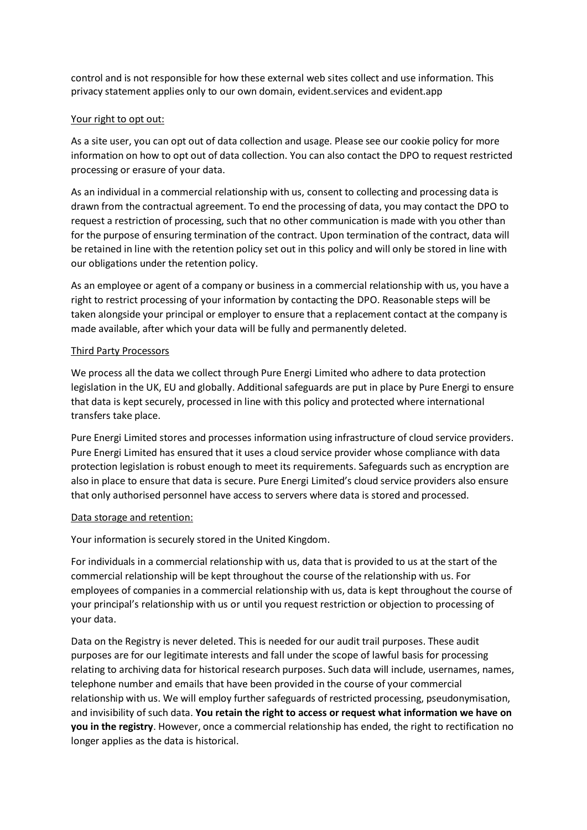control and is not responsible for how these external web sites collect and use information. This privacy statement applies only to our own domain, evident.services and evident.app

### Your right to opt out:

As a site user, you can opt out of data collection and usage. Please see our cookie policy for more information on how to opt out of data collection. You can also contact the DPO to request restricted processing or erasure of your data.

As an individual in a commercial relationship with us, consent to collecting and processing data is drawn from the contractual agreement. To end the processing of data, you may contact the DPO to request a restriction of processing, such that no other communication is made with you other than for the purpose of ensuring termination of the contract. Upon termination of the contract, data will be retained in line with the retention policy set out in this policy and will only be stored in line with our obligations under the retention policy.

As an employee or agent of a company or business in a commercial relationship with us, you have a right to restrict processing of your information by contacting the DPO. Reasonable steps will be taken alongside your principal or employer to ensure that a replacement contact at the company is made available, after which your data will be fully and permanently deleted.

### Third Party Processors

We process all the data we collect through Pure Energi Limited who adhere to data protection legislation in the UK, EU and globally. Additional safeguards are put in place by Pure Energi to ensure that data is kept securely, processed in line with this policy and protected where international transfers take place.

Pure Energi Limited stores and processes information using infrastructure of cloud service providers. Pure Energi Limited has ensured that it uses a cloud service provider whose compliance with data protection legislation is robust enough to meet its requirements. Safeguards such as encryption are also in place to ensure that data is secure. Pure Energi Limited's cloud service providers also ensure that only authorised personnel have access to servers where data is stored and processed.

### Data storage and retention:

Your information is securely stored in the United Kingdom.

For individuals in a commercial relationship with us, data that is provided to us at the start of the commercial relationship will be kept throughout the course of the relationship with us. For employees of companies in a commercial relationship with us, data is kept throughout the course of your principal's relationship with us or until you request restriction or objection to processing of your data.

Data on the Registry is never deleted. This is needed for our audit trail purposes. These audit purposes are for our legitimate interests and fall under the scope of lawful basis for processing relating to archiving data for historical research purposes. Such data will include, usernames, names, telephone number and emails that have been provided in the course of your commercial relationship with us. We will employ further safeguards of restricted processing, pseudonymisation, and invisibility of such data. **You retain the right to access or request what information we have on you in the registry**. However, once a commercial relationship has ended, the right to rectification no longer applies as the data is historical.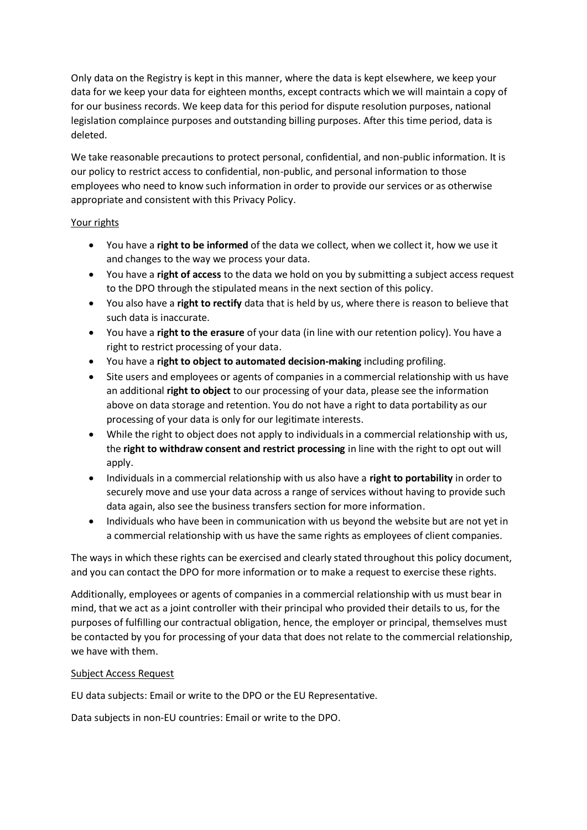Only data on the Registry is kept in this manner, where the data is kept elsewhere, we keep your data for we keep your data for eighteen months, except contracts which we will maintain a copy of for our business records. We keep data for this period for dispute resolution purposes, national legislation complaince purposes and outstanding billing purposes. After this time period, data is deleted.

We take reasonable precautions to protect personal, confidential, and non-public information. It is our policy to restrict access to confidential, non-public, and personal information to those employees who need to know such information in order to provide our services or as otherwise appropriate and consistent with this Privacy Policy.

### Your rights

- You have a **right to be informed** of the data we collect, when we collect it, how we use it and changes to the way we process your data.
- You have a **right of access** to the data we hold on you by submitting a subject access request to the DPO through the stipulated means in the next section of this policy.
- You also have a **right to rectify** data that is held by us, where there is reason to believe that such data is inaccurate.
- You have a **right to the erasure** of your data (in line with our retention policy). You have a right to restrict processing of your data.
- You have a **right to object to automated decision-making** including profiling.
- Site users and employees or agents of companies in a commercial relationship with us have an additional **right to object** to our processing of your data, please see the information above on data storage and retention. You do not have a right to data portability as our processing of your data is only for our legitimate interests.
- While the right to object does not apply to individuals in a commercial relationship with us, the **right to withdraw consent and restrict processing** in line with the right to opt out will apply.
- Individuals in a commercial relationship with us also have a **right to portability** in order to securely move and use your data across a range of services without having to provide such data again, also see the business transfers section for more information.
- Individuals who have been in communication with us beyond the website but are not yet in a commercial relationship with us have the same rights as employees of client companies.

The ways in which these rights can be exercised and clearly stated throughout this policy document, and you can contact the DPO for more information or to make a request to exercise these rights.

Additionally, employees or agents of companies in a commercial relationship with us must bear in mind, that we act as a joint controller with their principal who provided their details to us, for the purposes of fulfilling our contractual obligation, hence, the employer or principal, themselves must be contacted by you for processing of your data that does not relate to the commercial relationship, we have with them.

## Subject Access Request

EU data subjects: Email or write to the DPO or the EU Representative.

Data subjects in non-EU countries: Email or write to the DPO.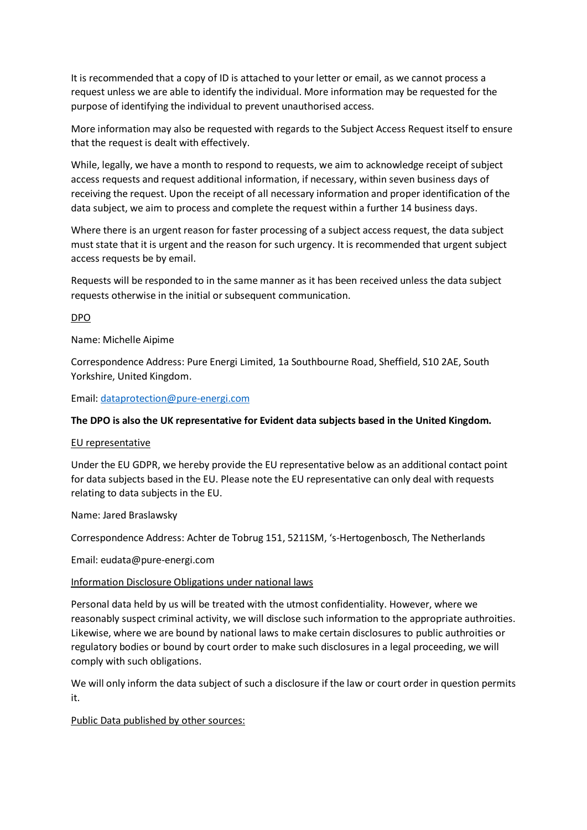It is recommended that a copy of ID is attached to your letter or email, as we cannot process a request unless we are able to identify the individual. More information may be requested for the purpose of identifying the individual to prevent unauthorised access.

More information may also be requested with regards to the Subject Access Request itself to ensure that the request is dealt with effectively.

While, legally, we have a month to respond to requests, we aim to acknowledge receipt of subject access requests and request additional information, if necessary, within seven business days of receiving the request. Upon the receipt of all necessary information and proper identification of the data subject, we aim to process and complete the request within a further 14 business days.

Where there is an urgent reason for faster processing of a subject access request, the data subject must state that it is urgent and the reason for such urgency. It is recommended that urgent subject access requests be by email.

Requests will be responded to in the same manner as it has been received unless the data subject requests otherwise in the initial or subsequent communication.

### DPO

Name: Michelle Aipime

Correspondence Address: Pure Energi Limited, 1a Southbourne Road, Sheffield, S10 2AE, South Yorkshire, United Kingdom.

Email: [dataprotection@pure-energi.com](mailto:dataprotection@pure-energi.com)

### **The DPO is also the UK representative for Evident data subjects based in the United Kingdom.**

### EU representative

Under the EU GDPR, we hereby provide the EU representative below as an additional contact point for data subjects based in the EU. Please note the EU representative can only deal with requests relating to data subjects in the EU.

### Name: Jared Braslawsky

Correspondence Address: Achter de Tobrug 151, 5211SM, 's-Hertogenbosch, The Netherlands

Email: eudata@pure-energi.com

### Information Disclosure Obligations under national laws

Personal data held by us will be treated with the utmost confidentiality. However, where we reasonably suspect criminal activity, we will disclose such information to the appropriate authroities. Likewise, where we are bound by national laws to make certain disclosures to public authroities or regulatory bodies or bound by court order to make such disclosures in a legal proceeding, we will comply with such obligations.

We will only inform the data subject of such a disclosure if the law or court order in question permits it.

Public Data published by other sources: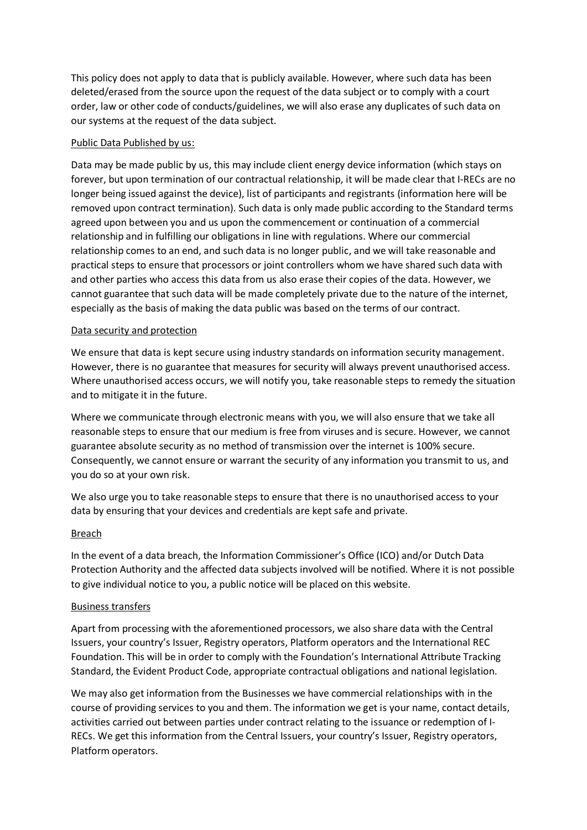This policy does not apply to data that is publicly available. However, where such data has been deleted/erased from the source upon the request of the data subject or to comply with a court order, law or other code of conducts/guidelines, we will also erase any duplicates of such data on our systems at the request of the data subject.

### Public Data Published by us:

Data may be made public by us, this may include client energy device information (which stays on forever, but upon termination of our contractual relationship, it will be made clear that I-RECs are no longer being issued against the device), list of participants and registrants (information here will be removed upon contract termination). Such data is only made public according to the Standard terms agreed upon between you and us upon the commencement or continuation of a commercial relationship and in fulfilling our obligations in line with regulations. Where our commercial relationship comes to an end, and such data is no longer public, and we will take reasonable and practical steps to ensure that processors or joint controllers whom we have shared such data with and other parties who access this data from us also erase their copies of the data. However, we cannot guarantee that such data will be made completely private due to the nature of the internet, especially as the basis of making the data public was based on the terms of our contract.

### Data security and protection

We ensure that data is kept secure using industry standards on information security management. However, there is no guarantee that measures for security will always prevent unauthorised access. Where unauthorised access occurs, we will notify you, take reasonable steps to remedy the situation and to mitigate it in the future.

Where we communicate through electronic means with you, we will also ensure that we take all reasonable steps to ensure that our medium is free from viruses and is secure. However, we cannot guarantee absolute security as no method of transmission over the internet is 100% secure. Consequently, we cannot ensure or warrant the security of any information you transmit to us, and you do so at your own risk.

We also urge you to take reasonable steps to ensure that there is no unauthorised access to your data by ensuring that your devices and credentials are kept safe and private.

### Breach

In the event of a data breach, the Information Commissioner's Office (ICO) and/or Dutch Data Protection Authority and the affected data subjects involved will be notified. Where it is not possible to give individual notice to you, a public notice will be placed on this website.

### Business transfers

Apart from processing with the aforementioned processors, we also share data with the Central Issuers, your country's Issuer, Registry operators, Platform operators and the International REC Foundation. This will be in order to comply with the Foundation's International Attribute Tracking Standard, the Evident Product Code, appropriate contractual obligations and national legislation.

We may also get information from the Businesses we have commercial relationships with in the course of providing services to you and them. The information we get is your name, contact details, activities carried out between parties under contract relating to the issuance or redemption of I-RECs. We get this information from the Central Issuers, your country's Issuer, Registry operators, Platform operators.